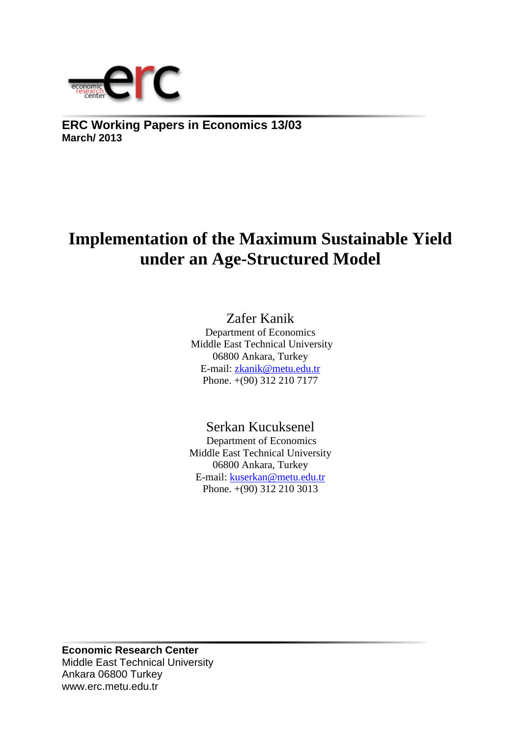

**ERC Working Papers in Economics 13/03 March/ 2013**

# **Implementation of the Maximum Sustainable Yield under an Age-Structured Model**

Zafer Kanik

Department of Economics Middle East Technical University 06800 Ankara, Turkey E-mail: [zkanik@metu.edu.tr](mailto:zkanik@metu.edu.tr) Phone. +(90) 312 210 7177

### Serkan Kucuksenel

Department of Economics Middle East Technical University 06800 Ankara, Turkey E-mail: [kuserkan@metu.edu.tr](mailto:kuserkan@metu.edu.tr) Phone. +(90) 312 210 3013

**Economic Research Center** Middle East Technical University Ankara 06800 Turkey www.erc.metu.edu.tr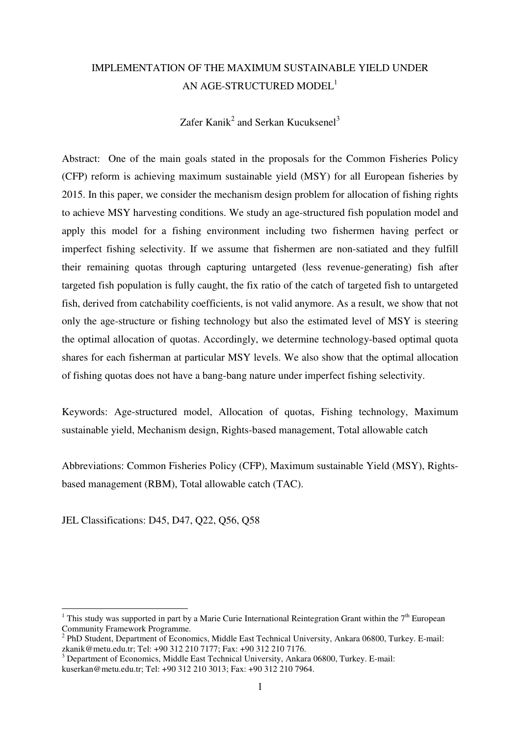## IMPLEMENTATION OF THE MAXIMUM SUSTAINABLE YIELD UNDER AN AGE-STRUCTURED MODEL<sup>1</sup>

Zafer Kanik<sup>2</sup> and Serkan Kucuksenel<sup>3</sup>

Abstract: One of the main goals stated in the proposals for the Common Fisheries Policy (CFP) reform is achieving maximum sustainable yield (MSY) for all European fisheries by 2015. In this paper, we consider the mechanism design problem for allocation of fishing rights to achieve MSY harvesting conditions. We study an age-structured fish population model and apply this model for a fishing environment including two fishermen having perfect or imperfect fishing selectivity. If we assume that fishermen are non-satiated and they fulfill their remaining quotas through capturing untargeted (less revenue-generating) fish after targeted fish population is fully caught, the fix ratio of the catch of targeted fish to untargeted fish, derived from catchability coefficients, is not valid anymore. As a result, we show that not only the age-structure or fishing technology but also the estimated level of MSY is steering the optimal allocation of quotas. Accordingly, we determine technology-based optimal quota shares for each fisherman at particular MSY levels. We also show that the optimal allocation of fishing quotas does not have a bang-bang nature under imperfect fishing selectivity.

Keywords: Age-structured model, Allocation of quotas, Fishing technology, Maximum sustainable yield, Mechanism design, Rights-based management, Total allowable catch

Abbreviations: Common Fisheries Policy (CFP), Maximum sustainable Yield (MSY), Rightsbased management (RBM), Total allowable catch (TAC).

JEL Classifications: D45, D47, Q22, Q56, Q58

<sup>&</sup>lt;sup>1</sup> This study was supported in part by a Marie Curie International Reintegration Grant within the 7<sup>th</sup> European Community Framework Programme.

<sup>&</sup>lt;sup>2</sup> PhD Student, Department of Economics, Middle East Technical University, Ankara 06800, Turkey. E-mail: zkanik@metu.edu.tr; Tel: +90 312 210 7177; Fax: +90 312 210 7176.

<sup>&</sup>lt;sup>3</sup> Department of Economics, Middle East Technical University, Ankara 06800, Turkey. E-mail:

kuserkan@metu.edu.tr; Tel: +90 312 210 3013; Fax: +90 312 210 7964.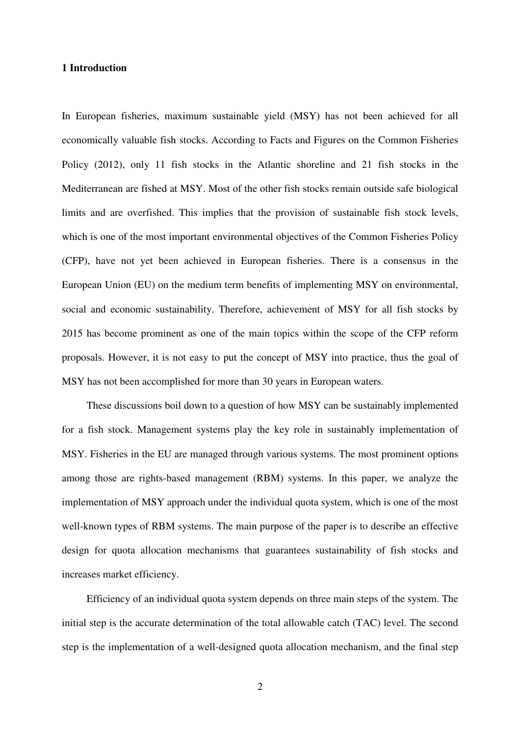#### **1 Introduction**

In European fisheries, maximum sustainable yield (MSY) has not been achieved for all economically valuable fish stocks. According to Facts and Figures on the Common Fisheries Policy (2012), only 11 fish stocks in the Atlantic shoreline and 21 fish stocks in the Mediterranean are fished at MSY. Most of the other fish stocks remain outside safe biological limits and are overfished. This implies that the provision of sustainable fish stock levels, which is one of the most important environmental objectives of the Common Fisheries Policy (CFP), have not yet been achieved in European fisheries. There is a consensus in the European Union (EU) on the medium term benefits of implementing MSY on environmental, social and economic sustainability. Therefore, achievement of MSY for all fish stocks by 2015 has become prominent as one of the main topics within the scope of the CFP reform proposals. However, it is not easy to put the concept of MSY into practice, thus the goal of MSY has not been accomplished for more than 30 years in European waters.

These discussions boil down to a question of how MSY can be sustainably implemented for a fish stock. Management systems play the key role in sustainably implementation of MSY. Fisheries in the EU are managed through various systems. The most prominent options among those are rights-based management (RBM) systems. In this paper, we analyze the implementation of MSY approach under the individual quota system, which is one of the most well-known types of RBM systems. The main purpose of the paper is to describe an effective design for quota allocation mechanisms that guarantees sustainability of fish stocks and increases market efficiency.

Efficiency of an individual quota system depends on three main steps of the system. The initial step is the accurate determination of the total allowable catch (TAC) level. The second step is the implementation of a well-designed quota allocation mechanism, and the final step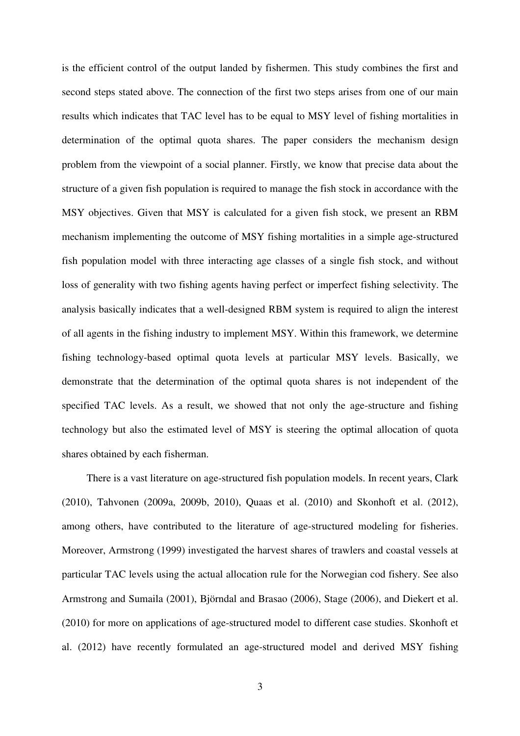is the efficient control of the output landed by fishermen. This study combines the first and second steps stated above. The connection of the first two steps arises from one of our main results which indicates that TAC level has to be equal to MSY level of fishing mortalities in determination of the optimal quota shares. The paper considers the mechanism design problem from the viewpoint of a social planner. Firstly, we know that precise data about the structure of a given fish population is required to manage the fish stock in accordance with the MSY objectives. Given that MSY is calculated for a given fish stock, we present an RBM mechanism implementing the outcome of MSY fishing mortalities in a simple age-structured fish population model with three interacting age classes of a single fish stock, and without loss of generality with two fishing agents having perfect or imperfect fishing selectivity. The analysis basically indicates that a well-designed RBM system is required to align the interest of all agents in the fishing industry to implement MSY. Within this framework, we determine fishing technology-based optimal quota levels at particular MSY levels. Basically, we demonstrate that the determination of the optimal quota shares is not independent of the specified TAC levels. As a result, we showed that not only the age-structure and fishing technology but also the estimated level of MSY is steering the optimal allocation of quota shares obtained by each fisherman.

There is a vast literature on age-structured fish population models. In recent years, Clark (2010), Tahvonen (2009a, 2009b, 2010), Quaas et al. (2010) and Skonhoft et al. (2012), among others, have contributed to the literature of age-structured modeling for fisheries. Moreover, Armstrong (1999) investigated the harvest shares of trawlers and coastal vessels at particular TAC levels using the actual allocation rule for the Norwegian cod fishery. See also Armstrong and Sumaila (2001), Björndal and Brasao (2006), Stage (2006), and Diekert et al. (2010) for more on applications of age-structured model to different case studies. Skonhoft et al. (2012) have recently formulated an age-structured model and derived MSY fishing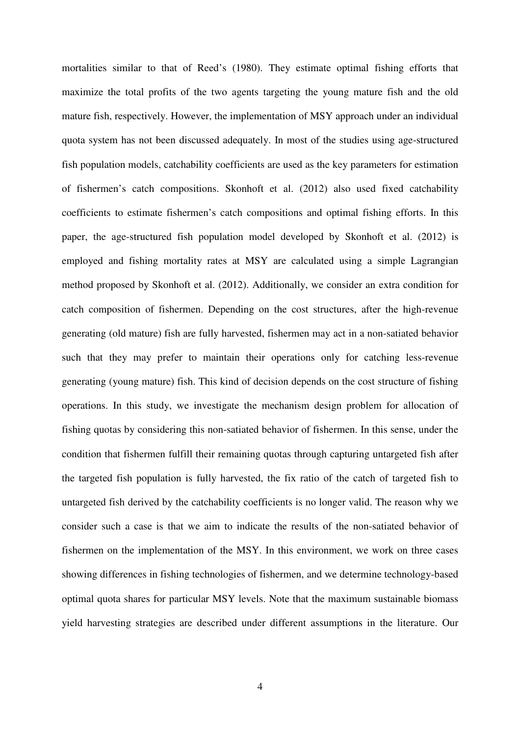mortalities similar to that of Reed's (1980). They estimate optimal fishing efforts that maximize the total profits of the two agents targeting the young mature fish and the old mature fish, respectively. However, the implementation of MSY approach under an individual quota system has not been discussed adequately. In most of the studies using age-structured fish population models, catchability coefficients are used as the key parameters for estimation of fishermen's catch compositions. Skonhoft et al. (2012) also used fixed catchability coefficients to estimate fishermen's catch compositions and optimal fishing efforts. In this paper, the age-structured fish population model developed by Skonhoft et al. (2012) is employed and fishing mortality rates at MSY are calculated using a simple Lagrangian method proposed by Skonhoft et al. (2012). Additionally, we consider an extra condition for catch composition of fishermen. Depending on the cost structures, after the high-revenue generating (old mature) fish are fully harvested, fishermen may act in a non-satiated behavior such that they may prefer to maintain their operations only for catching less-revenue generating (young mature) fish. This kind of decision depends on the cost structure of fishing operations. In this study, we investigate the mechanism design problem for allocation of fishing quotas by considering this non-satiated behavior of fishermen. In this sense, under the condition that fishermen fulfill their remaining quotas through capturing untargeted fish after the targeted fish population is fully harvested, the fix ratio of the catch of targeted fish to untargeted fish derived by the catchability coefficients is no longer valid. The reason why we consider such a case is that we aim to indicate the results of the non-satiated behavior of fishermen on the implementation of the MSY. In this environment, we work on three cases showing differences in fishing technologies of fishermen, and we determine technology-based optimal quota shares for particular MSY levels. Note that the maximum sustainable biomass yield harvesting strategies are described under different assumptions in the literature. Our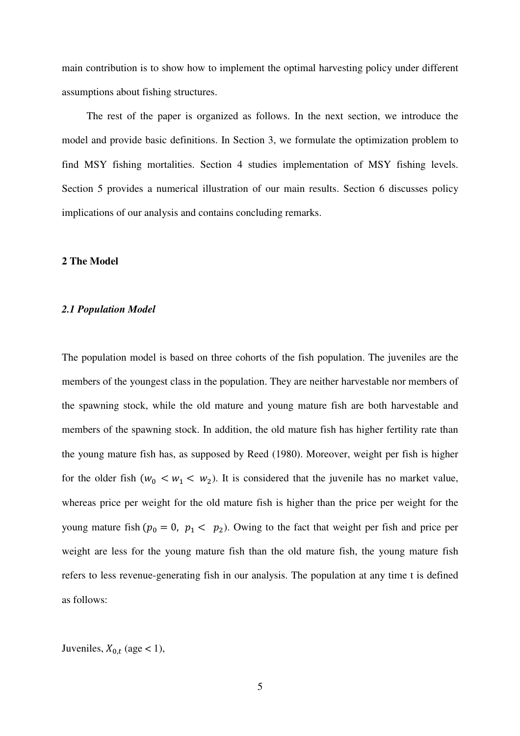main contribution is to show how to implement the optimal harvesting policy under different assumptions about fishing structures.

The rest of the paper is organized as follows. In the next section, we introduce the model and provide basic definitions. In Section 3, we formulate the optimization problem to find MSY fishing mortalities. Section 4 studies implementation of MSY fishing levels. Section 5 provides a numerical illustration of our main results. Section 6 discusses policy implications of our analysis and contains concluding remarks.

#### **2 The Model**

#### *2.1 Population Model*

The population model is based on three cohorts of the fish population. The juveniles are the members of the youngest class in the population. They are neither harvestable nor members of the spawning stock, while the old mature and young mature fish are both harvestable and members of the spawning stock. In addition, the old mature fish has higher fertility rate than the young mature fish has, as supposed by Reed (1980). Moreover, weight per fish is higher for the older fish  $(w_0 < w_1 < w_2)$ . It is considered that the juvenile has no market value, whereas price per weight for the old mature fish is higher than the price per weight for the young mature fish ( $p_0 = 0$ ,  $p_1 < p_2$ ). Owing to the fact that weight per fish and price per weight are less for the young mature fish than the old mature fish, the young mature fish refers to less revenue-generating fish in our analysis. The population at any time t is defined as follows:

Juveniles,  $X_{0,t}$  (age < 1),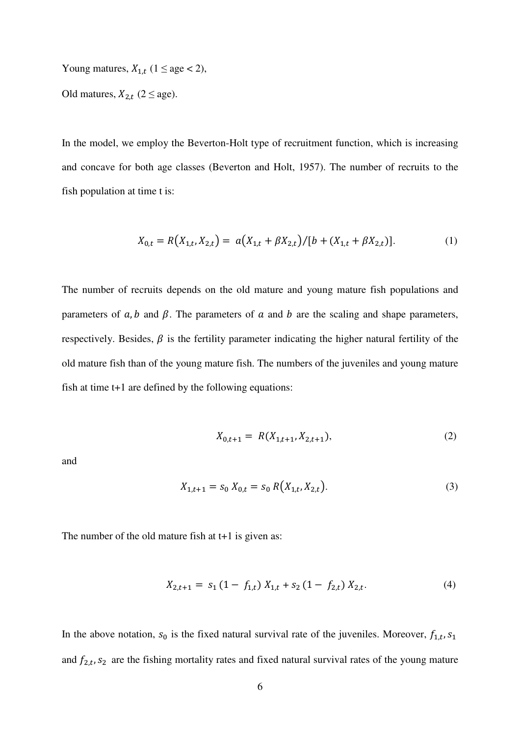Young matures,  $X_{1,t}$  ( $1 \leq$  age < 2),

Old matures,  $X_{2,t}$  (2  $\leq$  age).

In the model, we employ the Beverton-Holt type of recruitment function, which is increasing and concave for both age classes (Beverton and Holt, 1957). The number of recruits to the fish population at time t is:

$$
X_{0,t} = R(X_{1,t}, X_{2,t}) = a(X_{1,t} + \beta X_{2,t})/[b + (X_{1,t} + \beta X_{2,t})].
$$
 (1)

The number of recruits depends on the old mature and young mature fish populations and parameters of  $a$ ,  $b$  and  $\beta$ . The parameters of  $a$  and  $b$  are the scaling and shape parameters, respectively. Besides,  $\beta$  is the fertility parameter indicating the higher natural fertility of the old mature fish than of the young mature fish. The numbers of the juveniles and young mature fish at time t+1 are defined by the following equations:

$$
X_{0,t+1} = R(X_{1,t+1}, X_{2,t+1}),
$$
\n(2)

and

$$
X_{1,t+1} = s_0 X_{0,t} = s_0 R(X_{1,t}, X_{2,t}).
$$
\n(3)

The number of the old mature fish at t+1 is given as:

$$
X_{2,t+1} = s_1 (1 - f_{1,t}) X_{1,t} + s_2 (1 - f_{2,t}) X_{2,t}.
$$
 (4)

In the above notation,  $s_0$  is the fixed natural survival rate of the juveniles. Moreover,  $f_{1,t}$ ,  $s_1$ and  $f_{2,t}$ ,  $s_2$  are the fishing mortality rates and fixed natural survival rates of the young mature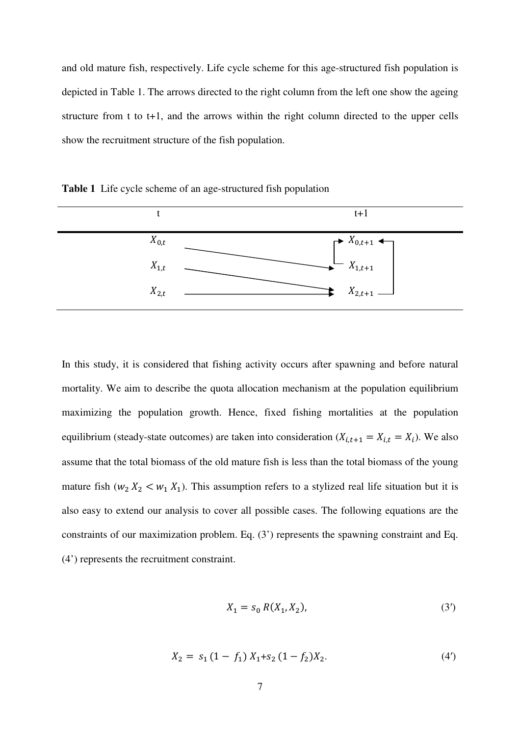and old mature fish, respectively. Life cycle scheme for this age-structured fish population is depicted in Table 1. The arrows directed to the right column from the left one show the ageing structure from t to t+1, and the arrows within the right column directed to the upper cells show the recruitment structure of the fish population.



**Table 1** Life cycle scheme of an age-structured fish population

In this study, it is considered that fishing activity occurs after spawning and before natural mortality. We aim to describe the quota allocation mechanism at the population equilibrium maximizing the population growth. Hence, fixed fishing mortalities at the population equilibrium (steady-state outcomes) are taken into consideration  $(X_{i,t+1} = X_{i,t} = X_i)$ . We also assume that the total biomass of the old mature fish is less than the total biomass of the young mature fish ( $w_2 X_2 < w_1 X_1$ ). This assumption refers to a stylized real life situation but it is also easy to extend our analysis to cover all possible cases. The following equations are the constraints of our maximization problem. Eq. (3') represents the spawning constraint and Eq. (4') represents the recruitment constraint.

$$
X_1 = s_0 R(X_1, X_2), \tag{3'}
$$

$$
X_2 = s_1 (1 - f_1) X_1 + s_2 (1 - f_2) X_2. \tag{4'}
$$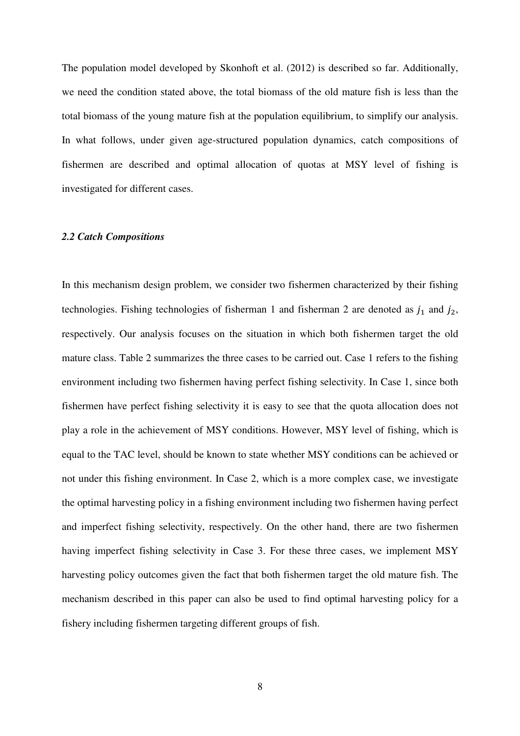The population model developed by Skonhoft et al. (2012) is described so far. Additionally, we need the condition stated above, the total biomass of the old mature fish is less than the total biomass of the young mature fish at the population equilibrium, to simplify our analysis. In what follows, under given age-structured population dynamics, catch compositions of fishermen are described and optimal allocation of quotas at MSY level of fishing is investigated for different cases.

#### *2.2 Catch Compositions*

In this mechanism design problem, we consider two fishermen characterized by their fishing technologies. Fishing technologies of fisherman 1 and fisherman 2 are denoted as  $j_1$  and  $j_2$ , respectively. Our analysis focuses on the situation in which both fishermen target the old mature class. Table 2 summarizes the three cases to be carried out. Case 1 refers to the fishing environment including two fishermen having perfect fishing selectivity. In Case 1, since both fishermen have perfect fishing selectivity it is easy to see that the quota allocation does not play a role in the achievement of MSY conditions. However, MSY level of fishing, which is equal to the TAC level, should be known to state whether MSY conditions can be achieved or not under this fishing environment. In Case 2, which is a more complex case, we investigate the optimal harvesting policy in a fishing environment including two fishermen having perfect and imperfect fishing selectivity, respectively. On the other hand, there are two fishermen having imperfect fishing selectivity in Case 3. For these three cases, we implement MSY harvesting policy outcomes given the fact that both fishermen target the old mature fish. The mechanism described in this paper can also be used to find optimal harvesting policy for a fishery including fishermen targeting different groups of fish.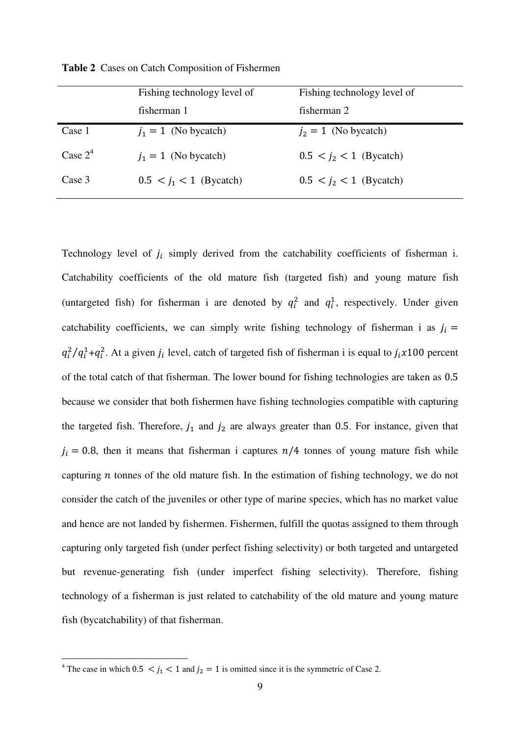|            | Fishing technology level of | Fishing technology level of |  |
|------------|-----------------------------|-----------------------------|--|
|            | fisherman 1                 | fisherman 2                 |  |
| Case 1     | $i_1 = 1$ (No bycatch)      | $i_2 = 1$ (No bycatch)      |  |
| Case $2^4$ | $j_1 = 1$ (No bycatch)      | $0.5 < j_2 < 1$ (Bycatch)   |  |
| Case 3     | $0.5 < j_1 < 1$ (Bycatch)   | $0.5 < j_2 < 1$ (Bycatch)   |  |

**Table 2** Cases on Catch Composition of Fishermen

Technology level of  $j_i$  simply derived from the catchability coefficients of fisherman i. Catchability coefficients of the old mature fish (targeted fish) and young mature fish (untargeted fish) for fisherman i are denoted by  $q_i^2$  and  $q_i^1$ , respectively. Under given catchability coefficients, we can simply write fishing technology of fisherman i as  $j_i =$  $q_i^2/q_i^1+q_i^2$ . At a given  $j_i$  level, catch of targeted fish of fisherman i is equal to  $j_i x 100$  percent of the total catch of that fisherman. The lower bound for fishing technologies are taken as 0.5 because we consider that both fishermen have fishing technologies compatible with capturing the targeted fish. Therefore,  $j_1$  and  $j_2$  are always greater than 0.5. For instance, given that  $j_i = 0.8$ , then it means that fisherman i captures  $n/4$  tonnes of young mature fish while capturing  *tonnes of the old mature fish. In the estimation of fishing technology, we do not* consider the catch of the juveniles or other type of marine species, which has no market value and hence are not landed by fishermen. Fishermen, fulfill the quotas assigned to them through capturing only targeted fish (under perfect fishing selectivity) or both targeted and untargeted but revenue-generating fish (under imperfect fishing selectivity). Therefore, fishing technology of a fisherman is just related to catchability of the old mature and young mature fish (bycatchability) of that fisherman.

<sup>&</sup>lt;sup>4</sup> The case in which  $0.5 < j_1 < 1$  and  $j_2 = 1$  is omitted since it is the symmetric of Case 2.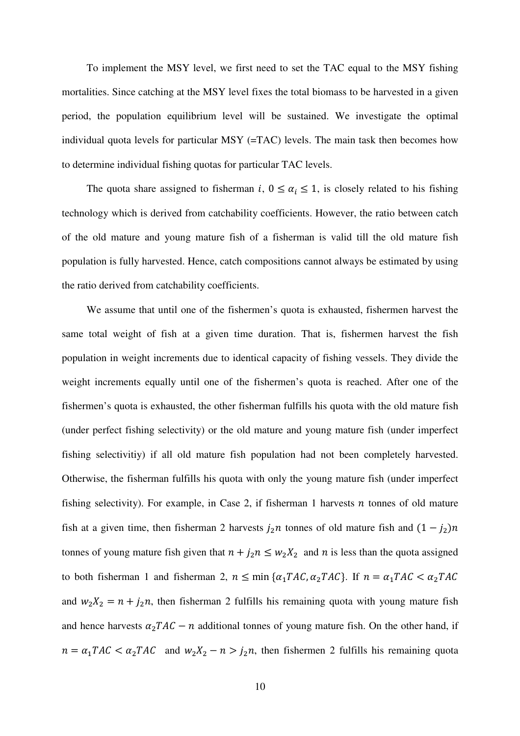To implement the MSY level, we first need to set the TAC equal to the MSY fishing mortalities. Since catching at the MSY level fixes the total biomass to be harvested in a given period, the population equilibrium level will be sustained. We investigate the optimal individual quota levels for particular MSY (=TAC) levels. The main task then becomes how to determine individual fishing quotas for particular TAC levels.

The quota share assigned to fisherman i,  $0 \le \alpha_i \le 1$ , is closely related to his fishing technology which is derived from catchability coefficients. However, the ratio between catch of the old mature and young mature fish of a fisherman is valid till the old mature fish population is fully harvested. Hence, catch compositions cannot always be estimated by using the ratio derived from catchability coefficients.

We assume that until one of the fishermen's quota is exhausted, fishermen harvest the same total weight of fish at a given time duration. That is, fishermen harvest the fish population in weight increments due to identical capacity of fishing vessels. They divide the weight increments equally until one of the fishermen's quota is reached. After one of the fishermen's quota is exhausted, the other fisherman fulfills his quota with the old mature fish (under perfect fishing selectivity) or the old mature and young mature fish (under imperfect fishing selectivitiy) if all old mature fish population had not been completely harvested. Otherwise, the fisherman fulfills his quota with only the young mature fish (under imperfect fishing selectivity). For example, in Case 2, if fisherman 1 harvests  $n$  tonnes of old mature fish at a given time, then fisherman 2 harvests  $j_2n$  tonnes of old mature fish and  $(1 - j_2)n$ tonnes of young mature fish given that  $n + j_2 n \leq w_2 X_2$  and n is less than the quota assigned to both fisherman 1 and fisherman 2,  $n \le \min{\{\alpha_1, TAC, \alpha_2, TAC\}}$ . If  $n = \alpha_1TAC < \alpha_2TAC$ and  $w_2X_2 = n + j_2n$ , then fisherman 2 fulfills his remaining quota with young mature fish and hence harvests  $\alpha_2 TAC - n$  additional tonnes of young mature fish. On the other hand, if  $n = \alpha_1 TAC < \alpha_2 TAC$  and  $w_2 X_2 - n > j_2 n$ , then fishermen 2 fulfills his remaining quota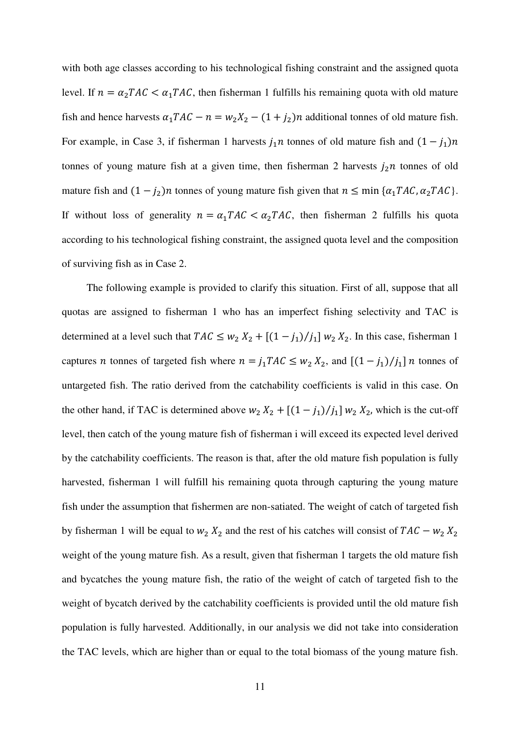with both age classes according to his technological fishing constraint and the assigned quota level. If  $n = \alpha_2 TAC < \alpha_1 TAC$ , then fisherman 1 fulfills his remaining quota with old mature fish and hence harvests  $\alpha_1 TAC - n = w_2 X_2 - (1 + j_2)n$  additional tonnes of old mature fish. For example, in Case 3, if fisherman 1 harvests  $j_1n$  tonnes of old mature fish and  $(1 - j_1)n$ tonnes of young mature fish at a given time, then fisherman 2 harvests  $j_2n$  tonnes of old mature fish and  $(1 - j_2)n$  tonnes of young mature fish given that  $n \leq \min \{ \alpha_1 T A C, \alpha_2 T A C \}.$ If without loss of generality  $n = \alpha_1 T A C < \alpha_2 T A C$ , then fisherman 2 fulfills his quota according to his technological fishing constraint, the assigned quota level and the composition of surviving fish as in Case 2.

The following example is provided to clarify this situation. First of all, suppose that all quotas are assigned to fisherman 1 who has an imperfect fishing selectivity and TAC is determined at a level such that  $TAC \leq w_2 X_2 + [(1-j_1)/j_1] w_2 X_2$ . In this case, fisherman 1 captures *n* tonnes of targeted fish where  $n = j_1 T A C \leq w_2 X_2$ , and  $[(1 - j_1)/j_1] n$  tonnes of untargeted fish. The ratio derived from the catchability coefficients is valid in this case. On the other hand, if TAC is determined above  $w_2 X_2 + [(1 - j_1)/j_1] w_2 X_2$ , which is the cut-off level, then catch of the young mature fish of fisherman i will exceed its expected level derived by the catchability coefficients. The reason is that, after the old mature fish population is fully harvested, fisherman 1 will fulfill his remaining quota through capturing the young mature fish under the assumption that fishermen are non-satiated. The weight of catch of targeted fish by fisherman 1 will be equal to  $w_2 X_2$  and the rest of his catches will consist of  $TAC - w_2 X_2$ weight of the young mature fish. As a result, given that fisherman 1 targets the old mature fish and bycatches the young mature fish, the ratio of the weight of catch of targeted fish to the weight of bycatch derived by the catchability coefficients is provided until the old mature fish population is fully harvested. Additionally, in our analysis we did not take into consideration the TAC levels, which are higher than or equal to the total biomass of the young mature fish.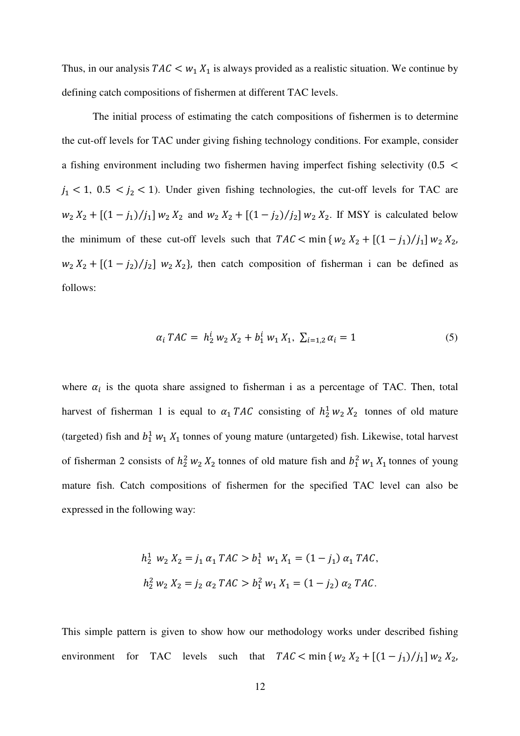Thus, in our analysis  $TAC \leq w_1 X_1$  is always provided as a realistic situation. We continue by defining catch compositions of fishermen at different TAC levels.

The initial process of estimating the catch compositions of fishermen is to determine the cut-off levels for TAC under giving fishing technology conditions. For example, consider a fishing environment including two fishermen having imperfect fishing selectivity (0.5 <  $j_1$  < 1, 0.5 <  $j_2$  < 1). Under given fishing technologies, the cut-off levels for TAC are  $w_2 X_2 + [(1-j_1)/j_1] w_2 X_2$  and  $w_2 X_2 + [(1-j_2)/j_2] w_2 X_2$ . If MSY is calculated below the minimum of these cut-off levels such that  $TAC < \min \{w_2 X_2 + [(1-j_1)/j_1] w_2 X_2,$  $w_2 X_2 + [(1-j_2)/j_2] w_2 X_2$ , then catch composition of fisherman i can be defined as follows:

$$
\alpha_i \, TAC = \, h_2^i \, w_2 \, X_2 + b_1^i \, w_1 \, X_1, \, \sum_{i=1,2} \alpha_i = 1 \tag{5}
$$

where  $\alpha_i$  is the quota share assigned to fisherman i as a percentage of TAC. Then, total harvest of fisherman 1 is equal to  $\alpha_1$  TAC consisting of  $h_2^1 w_2 X_2$  tonnes of old mature (targeted) fish and  $b_1^1 w_1 X_1$  tonnes of young mature (untargeted) fish. Likewise, total harvest of fisherman 2 consists of  $h_2^2 w_2 X_2$  tonnes of old mature fish and  $h_1^2 w_1 X_1$  tonnes of young mature fish. Catch compositions of fishermen for the specified TAC level can also be expressed in the following way:

$$
h_2^1 w_2 X_2 = j_1 \alpha_1 TAC > b_1^1 w_1 X_1 = (1 - j_1) \alpha_1 TAC,
$$
  

$$
h_2^2 w_2 X_2 = j_2 \alpha_2 TAC > b_1^2 w_1 X_1 = (1 - j_2) \alpha_2 TAC.
$$

This simple pattern is given to show how our methodology works under described fishing environment for TAC levels such that  $\sum_{i=1}^{3} X_i + [(1-j_1)/j_1] w_2 X_2$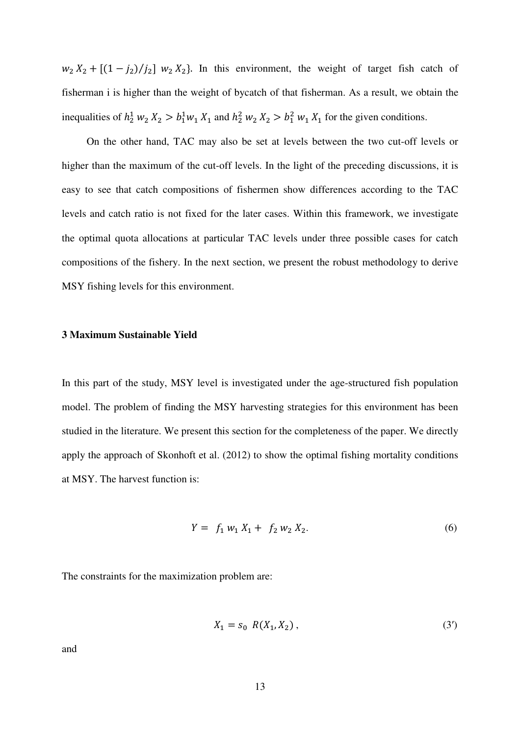$w_2 X_2 + [(1-j_2)/j_2] w_2 X_2$ . In this environment, the weight of target fish catch of fisherman i is higher than the weight of bycatch of that fisherman. As a result, we obtain the inequalities of  $h_2^1 w_2 X_2 > b_1^1 w_1 X_1$  and  $h_2^2 w_2 X_2 > b_1^2 w_1 X_1$  for the given conditions.

On the other hand, TAC may also be set at levels between the two cut-off levels or higher than the maximum of the cut-off levels. In the light of the preceding discussions, it is easy to see that catch compositions of fishermen show differences according to the TAC levels and catch ratio is not fixed for the later cases. Within this framework, we investigate the optimal quota allocations at particular TAC levels under three possible cases for catch compositions of the fishery. In the next section, we present the robust methodology to derive MSY fishing levels for this environment.

#### **3 Maximum Sustainable Yield**

In this part of the study, MSY level is investigated under the age-structured fish population model. The problem of finding the MSY harvesting strategies for this environment has been studied in the literature. We present this section for the completeness of the paper. We directly apply the approach of Skonhoft et al. (2012) to show the optimal fishing mortality conditions at MSY. The harvest function is:

$$
Y = f_1 w_1 X_1 + f_2 w_2 X_2. \tag{6}
$$

The constraints for the maximization problem are:

$$
X_1 = s_0 \ R(X_1, X_2) \,, \tag{3'}
$$

and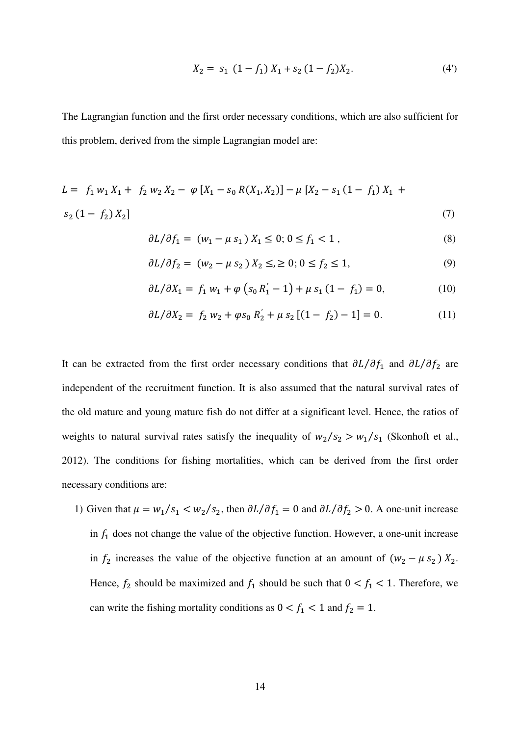$$
X_2 = s_1 (1 - f_1) X_1 + s_2 (1 - f_2) X_2. \tag{4'}
$$

The Lagrangian function and the first order necessary conditions, which are also sufficient for this problem, derived from the simple Lagrangian model are:

$$
L = f_1 w_1 X_1 + f_2 w_2 X_2 - \varphi [X_1 - s_0 R(X_1, X_2)] - \mu [X_2 - s_1 (1 - f_1) X_1 + s_2 (1 - f_2) X_2]
$$
\n(7)

$$
\partial L/\partial f_1 = (w_1 - \mu s_1) X_1 \le 0; 0 \le f_1 < 1 \,, \tag{8}
$$

$$
\partial L/\partial f_2 = (w_2 - \mu s_2) X_2 \leq z \geq 0; 0 \leq f_2 \leq 1,
$$
\n(9)

$$
\partial L/\partial X_1 = f_1 w_1 + \varphi (s_0 R_1' - 1) + \mu s_1 (1 - f_1) = 0, \qquad (10)
$$

$$
\partial L/\partial X_2 = f_2 w_2 + \varphi s_0 R_2' + \mu s_2 [(1 - f_2) - 1] = 0. \tag{11}
$$

It can be extracted from the first order necessary conditions that  $\partial L/\partial f_1$  and  $\partial L/\partial f_2$  are independent of the recruitment function. It is also assumed that the natural survival rates of the old mature and young mature fish do not differ at a significant level. Hence, the ratios of weights to natural survival rates satisfy the inequality of  $w_2$ / $s_2$  >  $w_1$ / $s_1$  (Skonhoft et al., 2012). The conditions for fishing mortalities, which can be derived from the first order necessary conditions are:

1) Given that  $\mu = w_1/s_1 < w_2/s_2$ , then  $\partial L/\partial f_1 = 0$  and  $\partial L/\partial f_2 > 0$ . A one-unit increase in  $f_1$  does not change the value of the objective function. However, a one-unit increase in  $f_2$  increases the value of the objective function at an amount of  $(w_2 - \mu s_2) X_2$ . Hence,  $f_2$  should be maximized and  $f_1$  should be such that  $0 < f_1 < 1$ . Therefore, we can write the fishing mortality conditions as  $0 < f_1 < 1$  and  $f_2 = 1$ .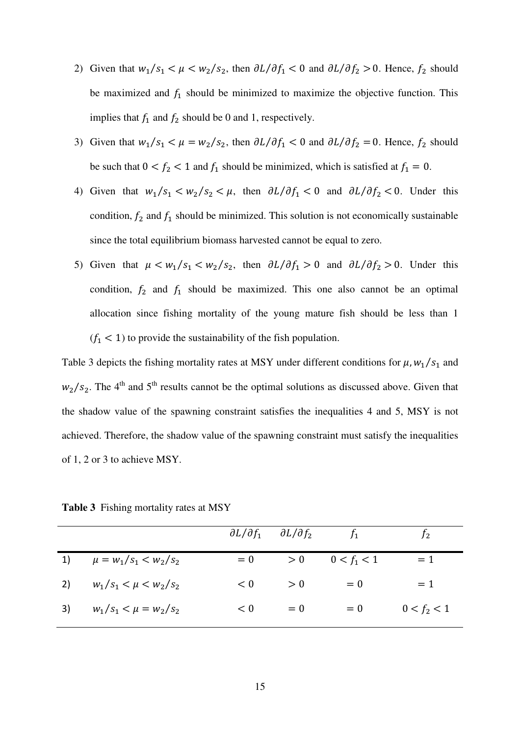- 2) Given that  $w_1/s_1 < \mu < w_2/s_2$ , then  $\partial L/\partial f_1 < 0$  and  $\partial L/\partial f_2 > 0$ . Hence,  $f_2$  should be maximized and  $f_1$  should be minimized to maximize the objective function. This implies that  $f_1$  and  $f_2$  should be 0 and 1, respectively.
- 3) Given that  $w_1/s_1 < \mu = w_2/s_2$ , then  $\partial L/\partial f_1 < 0$  and  $\partial L/\partial f_2 = 0$ . Hence,  $f_2$  should be such that  $0 < f_2 < 1$  and  $f_1$  should be minimized, which is satisfied at  $f_1 = 0$ .
- 4) Given that  $w_1/s_1 < w_2/s_2 < \mu$ , then  $\partial L/\partial f_1 < 0$  and  $\partial L/\partial f_2 < 0$ . Under this condition,  $f_2$  and  $f_1$  should be minimized. This solution is not economically sustainable since the total equilibrium biomass harvested cannot be equal to zero.
- 5) Given that  $\mu < w_1/s_1 < w_2/s_2$ , then  $\partial L/\partial f_1 > 0$  and  $\partial L/\partial f_2 > 0$ . Under this condition,  $f_2$  and  $f_1$  should be maximized. This one also cannot be an optimal allocation since fishing mortality of the young mature fish should be less than 1  $(f_1 < 1)$  to provide the sustainability of the fish population.

Table 3 depicts the fishing mortality rates at MSY under different conditions for  $\mu$ ,  $w_1$ / $s_1$  and  $w_2$ / $s_2$ . The 4<sup>th</sup> and 5<sup>th</sup> results cannot be the optimal solutions as discussed above. Given that the shadow value of the spawning constraint satisfies the inequalities 4 and 5, MSY is not achieved. Therefore, the shadow value of the spawning constraint must satisfy the inequalities of 1, 2 or 3 to achieve MSY.

|    |                              |     | $\partial L/\partial f_1$ $\partial L/\partial f_2$ | $f_1$                            | I2            |
|----|------------------------------|-----|-----------------------------------------------------|----------------------------------|---------------|
|    | 1) $\mu = w_1/s_1 < w_2/s_2$ |     |                                                     | $= 0$ > 0 0 < f <sub>1</sub> < 1 | $=1$          |
|    | 2) $w_1/s_1 < \mu < w_2/s_2$ | < 0 | > 0                                                 | $= 0$                            | $=1$          |
| 3) | $w_1/s_1 < \mu = w_2/s_2$    | < 0 | $= 0$                                               | $= 0$                            | $0 < f_2 < 1$ |

**Table 3** Fishing mortality rates at MSY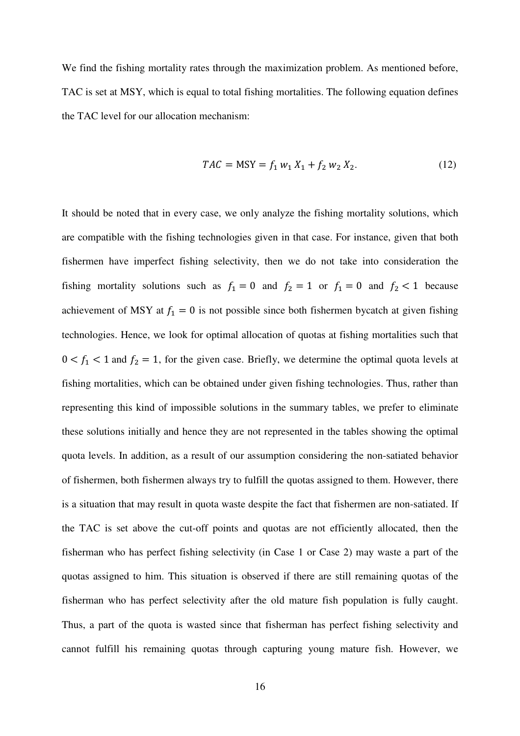We find the fishing mortality rates through the maximization problem. As mentioned before, TAC is set at MSY, which is equal to total fishing mortalities. The following equation defines the TAC level for our allocation mechanism:

$$
TAC = \text{MSY} = f_1 w_1 X_1 + f_2 w_2 X_2. \tag{12}
$$

It should be noted that in every case, we only analyze the fishing mortality solutions, which are compatible with the fishing technologies given in that case. For instance, given that both fishermen have imperfect fishing selectivity, then we do not take into consideration the fishing mortality solutions such as  $f_1 = 0$  and  $f_2 = 1$  or  $f_1 = 0$  and  $f_2 < 1$  because achievement of MSY at  $f_1 = 0$  is not possible since both fishermen bycatch at given fishing technologies. Hence, we look for optimal allocation of quotas at fishing mortalities such that  $0 < f_1 < 1$  and  $f_2 = 1$ , for the given case. Briefly, we determine the optimal quota levels at fishing mortalities, which can be obtained under given fishing technologies. Thus, rather than representing this kind of impossible solutions in the summary tables, we prefer to eliminate these solutions initially and hence they are not represented in the tables showing the optimal quota levels. In addition, as a result of our assumption considering the non-satiated behavior of fishermen, both fishermen always try to fulfill the quotas assigned to them. However, there is a situation that may result in quota waste despite the fact that fishermen are non-satiated. If the TAC is set above the cut-off points and quotas are not efficiently allocated, then the fisherman who has perfect fishing selectivity (in Case 1 or Case 2) may waste a part of the quotas assigned to him. This situation is observed if there are still remaining quotas of the fisherman who has perfect selectivity after the old mature fish population is fully caught. Thus, a part of the quota is wasted since that fisherman has perfect fishing selectivity and cannot fulfill his remaining quotas through capturing young mature fish. However, we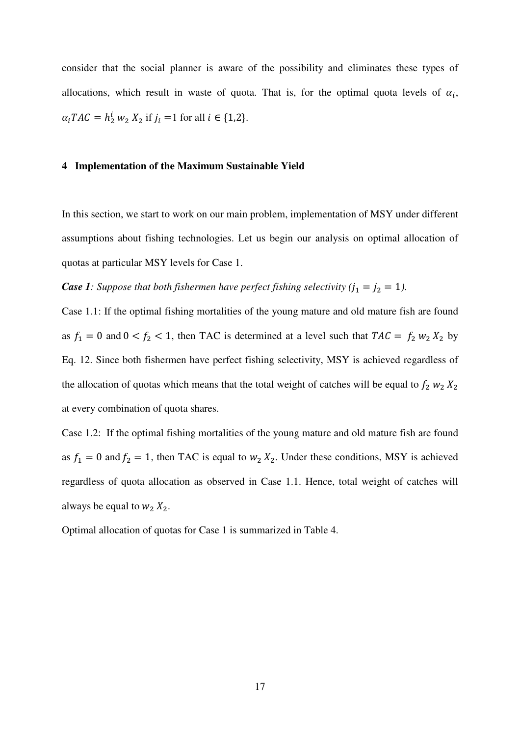consider that the social planner is aware of the possibility and eliminates these types of allocations, which result in waste of quota. That is, for the optimal quota levels of  $\alpha_i$ ,  $\alpha_i TAC = h_2^i w_2 X_2$  if  $j_i = 1$  for all  $i \in \{1,2\}.$ 

#### **4 Implementation of the Maximum Sustainable Yield**

In this section, we start to work on our main problem, implementation of MSY under different assumptions about fishing technologies. Let us begin our analysis on optimal allocation of quotas at particular MSY levels for Case 1.

# *Case 1: Suppose that both fishermen have perfect fishing selectivity (* $j_1 = j_2 = 1$ *).*

Case 1.1: If the optimal fishing mortalities of the young mature and old mature fish are found as  $f_1 = 0$  and  $0 < f_2 < 1$ , then TAC is determined at a level such that  $TAC = f_2 w_2 X_2$  by Eq. 12. Since both fishermen have perfect fishing selectivity, MSY is achieved regardless of the allocation of quotas which means that the total weight of catches will be equal to  $f_2 w_2 X_2$ at every combination of quota shares.

Case 1.2: If the optimal fishing mortalities of the young mature and old mature fish are found as  $f_1 = 0$  and  $f_2 = 1$ , then TAC is equal to  $w_2 X_2$ . Under these conditions, MSY is achieved regardless of quota allocation as observed in Case 1.1. Hence, total weight of catches will always be equal to  $w_2 X_2$ .

Optimal allocation of quotas for Case 1 is summarized in Table 4.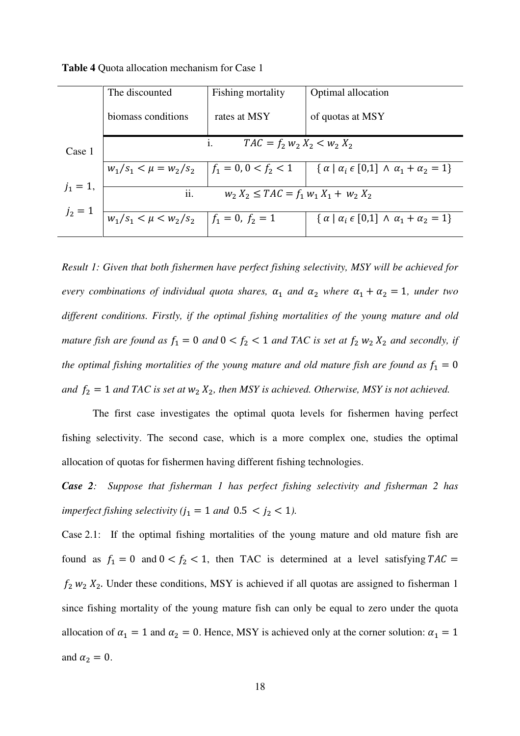|             | The discounted                                  | Fishing mortality                          | Optimal allocation                                                                                              |  |  |  |
|-------------|-------------------------------------------------|--------------------------------------------|-----------------------------------------------------------------------------------------------------------------|--|--|--|
|             | biomass conditions                              | rates at MSY                               | of quotas at MSY                                                                                                |  |  |  |
| Case 1      | $TAC = f_2 w_2 X_2 < w_2 X_2$                   |                                            |                                                                                                                 |  |  |  |
|             |                                                 |                                            | $w_1/s_1 < \mu = w_2/s_2$ $f_1 = 0, 0 < f_2 < 1$ $\alpha \mid \alpha_i \in [0,1] \land \alpha_1 + \alpha_2 = 1$ |  |  |  |
| $j_1 = 1$ , | ii.                                             | $w_2 X_2 \leq TAC = f_1 w_1 X_1 + w_2 X_2$ |                                                                                                                 |  |  |  |
| $j_2 = 1$   | $w_1/s_1 < \mu \leq w_2/s_2$ $f_1 = 0, f_2 = 1$ |                                            | $\{\alpha \mid \alpha_i \in [0,1] \land \alpha_1 + \alpha_2 = 1\}$                                              |  |  |  |
|             |                                                 |                                            |                                                                                                                 |  |  |  |

**Table 4** Quota allocation mechanism for Case 1

*Result 1: Given that both fishermen have perfect fishing selectivity, MSY will be achieved for every combinations of individual quota shares,*  $\alpha_1$  *and*  $\alpha_2$  *where*  $\alpha_1 + \alpha_2 = 1$ *, under two different conditions. Firstly, if the optimal fishing mortalities of the young mature and old mature fish are found as*  $f_1 = 0$  *and*  $0 < f_2 < 1$  *and TAC is set at*  $f_2 w_2 X_2$  *and secondly, if the optimal fishing mortalities of the young mature and old mature fish are found as*  $f_1 = 0$ and  $f_2 = 1$  and TAC is set at  $w_2 X_2$ , then MSY is achieved. Otherwise, MSY is not achieved.

The first case investigates the optimal quota levels for fishermen having perfect fishing selectivity. The second case, which is a more complex one, studies the optimal allocation of quotas for fishermen having different fishing technologies.

*Case 2: Suppose that fisherman 1 has perfect fishing selectivity and fisherman 2 has imperfect fishing selectivity (j<sub>1</sub> = 1 and*  $0.5 < j_2 < 1$ ).

Case 2.1: If the optimal fishing mortalities of the young mature and old mature fish are found as  $f_1 = 0$  and  $0 < f_2 < 1$ , then TAC is determined at a level satisfying  $TAC =$  $f_2$   $w_2$   $X_2$ . Under these conditions, MSY is achieved if all quotas are assigned to fisherman 1 since fishing mortality of the young mature fish can only be equal to zero under the quota allocation of  $\alpha_1 = 1$  and  $\alpha_2 = 0$ . Hence, MSY is achieved only at the corner solution:  $\alpha_1 = 1$ and  $\alpha_2 = 0$ .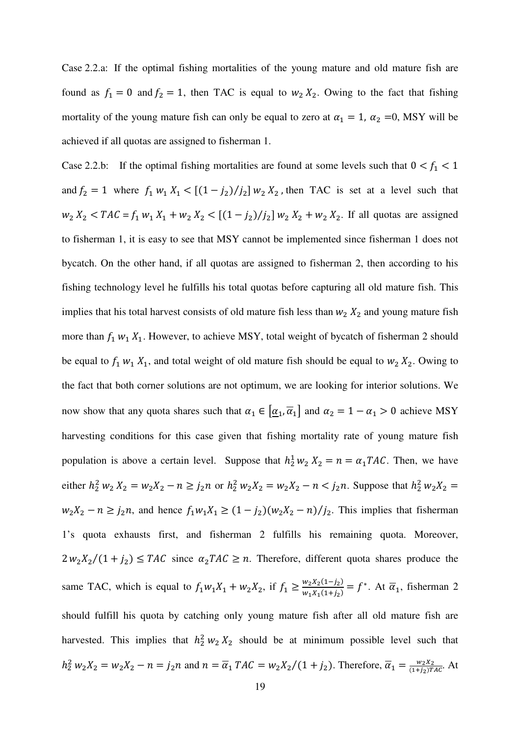Case 2.2.a:If the optimal fishing mortalities of the young mature and old mature fish are found as  $f_1 = 0$  and  $f_2 = 1$ , then TAC is equal to  $w_2 X_2$ . Owing to the fact that fishing mortality of the young mature fish can only be equal to zero at  $\alpha_1 = 1$ ,  $\alpha_2 = 0$ , MSY will be achieved if all quotas are assigned to fisherman 1.

Case 2.2.b: If the optimal fishing mortalities are found at some levels such that  $0 < f_1 < 1$ and  $f_2 = 1$  where  $f_1 w_1 X_1 < [(1 - j_2)/j_2] w_2 X_2$ , then TAC is set at a level such that  $w_2 X_2 < TAC = f_1 w_1 X_1 + w_2 X_2 < [(1 - j_2)/j_2] w_2 X_2 + w_2 X_2$ . If all quotas are assigned to fisherman 1, it is easy to see that MSY cannot be implemented since fisherman 1 does not bycatch. On the other hand, if all quotas are assigned to fisherman 2, then according to his fishing technology level he fulfills his total quotas before capturing all old mature fish. This implies that his total harvest consists of old mature fish less than  $w_2 X_2$  and young mature fish more than  $f_1 w_1 X_1$ . However, to achieve MSY, total weight of bycatch of fisherman 2 should be equal to  $f_1 w_1 X_1$ , and total weight of old mature fish should be equal to  $w_2 X_2$ . Owing to the fact that both corner solutions are not optimum, we are looking for interior solutions. We now show that any quota shares such that  $\alpha_1 \in [\underline{\alpha_1}, \overline{\alpha_1}]$  and  $\alpha_2 = 1 - \alpha_1 > 0$  achieve MSY harvesting conditions for this case given that fishing mortality rate of young mature fish population is above a certain level. Suppose that  $h_2^1 w_2 X_2 = n = \alpha_1 T A C$ . Then, we have either  $h_2^2 w_2 X_2 = w_2 X_2 - n \ge j_2 n$  or  $h_2^2 w_2 X_2 = w_2 X_2 - n \lt j_2 n$ . Suppose that  $h_2^2 w_2 X_2 =$  $w_2X_2 - n \ge j_2n$ , and hence  $f_1w_1X_1 \ge (1-j_2)(w_2X_2 - n)/j_2$ . This implies that fisherman 1's quota exhausts first, and fisherman 2 fulfills his remaining quota. Moreover,  $2 w_2 X_2 / (1 + j_2) \leq TAC$  since  $\alpha_2 TAC \geq n$ . Therefore, different quota shares produce the same TAC, which is equal to  $f_1w_1X_1 + w_2X_2$ , if  $f_1 \ge \frac{w_2X_2(1-j_2)}{w_1X_1(1+j_1)}$  $\frac{w_2 x_2 (1-j_2)}{w_1 X_1 (1+j_2)} = f^*$ . At  $\overline{\alpha}_1$ , fisherman 2 should fulfill his quota by catching only young mature fish after all old mature fish are harvested. This implies that  $h_2^2 w_2 X_2$  should be at minimum possible level such that  $h_2^2 w_2 X_2 = w_2 X_2 - n = j_2 n$  and  $n = \overline{\alpha}_1 TAC = w_2 X_2 / (1 + j_2)$ . Therefore,  $\overline{\alpha}_1 = \frac{w_2 X_2}{(1 + j_2)TAC}$ . At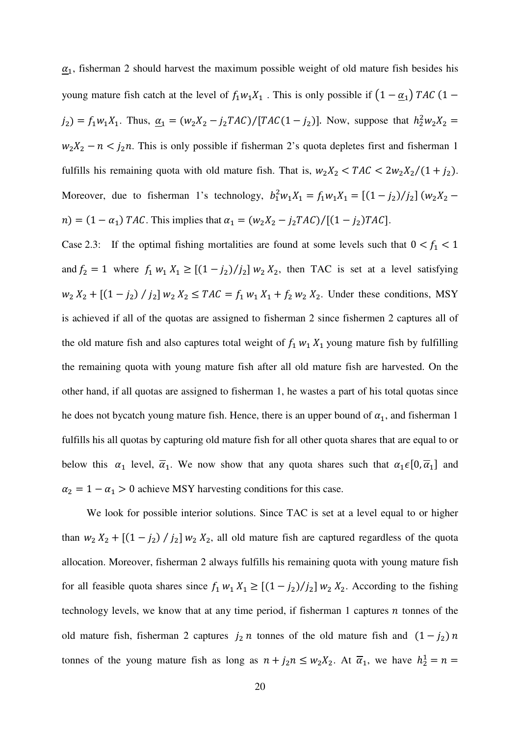$\alpha_1$ , fisherman 2 should harvest the maximum possible weight of old mature fish besides his young mature fish catch at the level of  $f_1w_1X_1$ . This is only possible if  $(1 - \underline{\alpha_1})$  TAC  $(1$  $j_2$ ) =  $f_1w_1X_1$ . Thus,  $\underline{\alpha}_1 = (w_2X_2 - j_2TAC)/[TAC(1 - j_2)]$ . Now, suppose that  $h_2^2w_2X_2 =$  $w_2X_2 - n < j_2n$ . This is only possible if fisherman 2's quota depletes first and fisherman 1 fulfills his remaining quota with old mature fish. That is,  $w_2X_2 < TAC < 2w_2X_2/(1+j_2)$ . Moreover, due to fisherman 1's technology,  $b_1^2 w_1 X_1 = f_1 w_1 X_1 = [(1 - j_2)/j_2] (w_2 X_2$  $n) = (1 - \alpha_1) TAC$ . This implies that  $\alpha_1 = (w_2 X_2 - j_2 TAC) / [(1 - j_2) TAC]$ .

Case 2.3: If the optimal fishing mortalities are found at some levels such that  $0 < f_1 < 1$ and  $f_2 = 1$  where  $f_1 w_1 X_1 \ge [(1 - j_2)/j_2] w_2 X_2$ , then TAC is set at a level satisfying  $w_2 X_2 + [(1-j_2) / j_2] w_2 X_2 \leq TAC = f_1 w_1 X_1 + f_2 w_2 X_2$ . Under these conditions, MSY is achieved if all of the quotas are assigned to fisherman 2 since fishermen 2 captures all of the old mature fish and also captures total weight of  $f_1 w_1 X_1$  young mature fish by fulfilling the remaining quota with young mature fish after all old mature fish are harvested. On the other hand, if all quotas are assigned to fisherman 1, he wastes a part of his total quotas since he does not bycatch young mature fish. Hence, there is an upper bound of  $\alpha_1$ , and fisherman 1 fulfills his all quotas by capturing old mature fish for all other quota shares that are equal to or below this  $\alpha_1$  level,  $\overline{\alpha}_1$ . We now show that any quota shares such that  $\alpha_1 \in [0, \overline{\alpha}_1]$  and  $\alpha_2 = 1 - \alpha_1 > 0$  achieve MSY harvesting conditions for this case.

 We look for possible interior solutions. Since TAC is set at a level equal to or higher than  $w_2 X_2 + [(1-j_2) / j_2] w_2 X_2$ , all old mature fish are captured regardless of the quota allocation. Moreover, fisherman 2 always fulfills his remaining quota with young mature fish for all feasible quota shares since  $f_1 w_1 X_1 \ge [(1-j_2)/j_2] w_2 X_2$ . According to the fishing technology levels, we know that at any time period, if fisherman 1 captures  $n$  tonnes of the old mature fish, fisherman 2 captures  $j_2$  *n* tonnes of the old mature fish and  $(1 - j_2)$  *n* tonnes of the young mature fish as long as  $n + j_2 n \leq w_2 X_2$ . At  $\overline{\alpha}_1$ , we have  $h_2^1 = n =$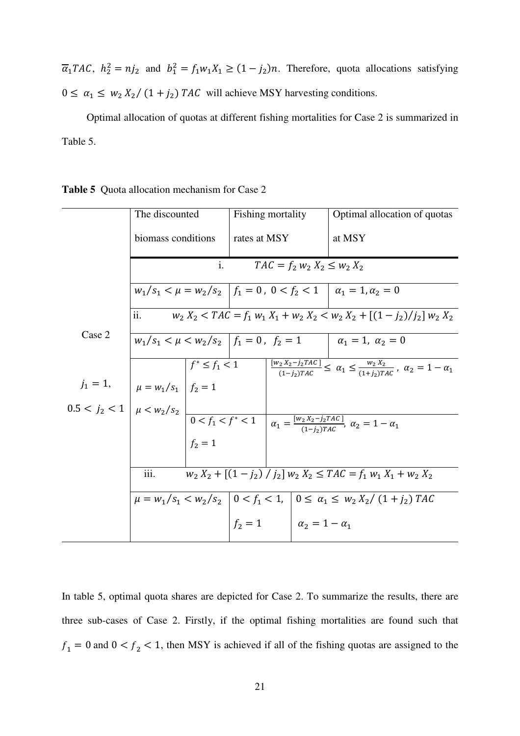$\overline{\alpha}_1 TAC$ ,  $h_2^2 = n j_2$  and  $b_1^2 = f_1 w_1 X_1 \ge (1 - j_2)n$ . Therefore, quota allocations satisfying  $0 \leq \alpha_1 \leq w_2 X_2 / (1 + j_2) T A C$  will achieve MSY harvesting conditions.

 Optimal allocation of quotas at different fishing mortalities for Case 2 is summarized in Table 5.

**Table 5** Quota allocation mechanism for Case 2

|        | The discounted                                                                         |  | Fishing mortality |  |                                     | Optimal allocation of quotas                                                                                                                                                                                                    |
|--------|----------------------------------------------------------------------------------------|--|-------------------|--|-------------------------------------|---------------------------------------------------------------------------------------------------------------------------------------------------------------------------------------------------------------------------------|
|        | biomass conditions                                                                     |  | rates at MSY      |  |                                     | at MSY                                                                                                                                                                                                                          |
|        | i.                                                                                     |  |                   |  | $TAC = f_2 w_2 X_2 \leq w_2 X_2$    |                                                                                                                                                                                                                                 |
|        |                                                                                        |  |                   |  |                                     | $w_1/s_1 < \mu = w_2/s_2$   $f_1 = 0$ , $0 < f_2 < 1$   $\alpha_1 = 1, \alpha_2 = 0$                                                                                                                                            |
|        | $\ddot{\mathbf{i}}$ .                                                                  |  |                   |  |                                     | $w_2 X_2 < TAC = f_1 w_1 X_1 + w_2 X_2 < w_2 X_2 + [(1-i_2)/i_2] w_2 X_2$                                                                                                                                                       |
| Case 2 |                                                                                        |  |                   |  |                                     | $w_1/s_1 < \mu < w_2/s_2$ $f_1 = 0$ , $f_2 = 1$ $\alpha_1 = 1$ , $\alpha_2 = 0$                                                                                                                                                 |
|        |                                                                                        |  |                   |  |                                     | $j_1 = 1,$ $\mu = w_1/s_1$ $\begin{cases} f^* \le f_1 < 1 \\ f_2 = 1 \end{cases}$ $\begin{cases} \frac{[w_2 X_2 - j_2 TAC]}{(1 - j_2) TAC} \le \alpha_1 \le \frac{w_2 X_2}{(1 + j_2) TAC}, \alpha_2 = 1 - \alpha_1 \end{cases}$ |
|        |                                                                                        |  |                   |  |                                     |                                                                                                                                                                                                                                 |
|        |                                                                                        |  |                   |  |                                     | $0.5 < j_2 < 1$ $\left\vert \mu < w_2 / s_2 \right\vert$ $\frac{0 < f_1 < f^* < 1}{f_2 = 1}$ $\left\vert \alpha_1 = \frac{[w_2 X_2 - j_2 TAC]}{(1 - j_2)TAC}, \alpha_2 = 1 - \alpha_1 \right\vert$                              |
|        |                                                                                        |  |                   |  |                                     |                                                                                                                                                                                                                                 |
|        | iii.                                                                                   |  |                   |  |                                     | $W_2 X_2 + [(1 - i_2) / i_2] W_2 X_2 \leq TAC = f_1 W_1 X_1 + W_2 X_2$                                                                                                                                                          |
|        | $\mu = w_1/s_1 < w_2/s_2$   $0 < f_1 < 1$ ,   $0 \le \alpha_1 \le w_2 X_2/(1+j_2)$ TAC |  |                   |  |                                     |                                                                                                                                                                                                                                 |
|        |                                                                                        |  |                   |  |                                     |                                                                                                                                                                                                                                 |
|        |                                                                                        |  |                   |  | $f_2 = 1$ $\alpha_2 = 1 - \alpha_1$ |                                                                                                                                                                                                                                 |

In table 5, optimal quota shares are depicted for Case 2. To summarize the results, there are three sub-cases of Case 2. Firstly, if the optimal fishing mortalities are found such that  $f_1 = 0$  and  $0 < f_2 < 1$ , then MSY is achieved if all of the fishing quotas are assigned to the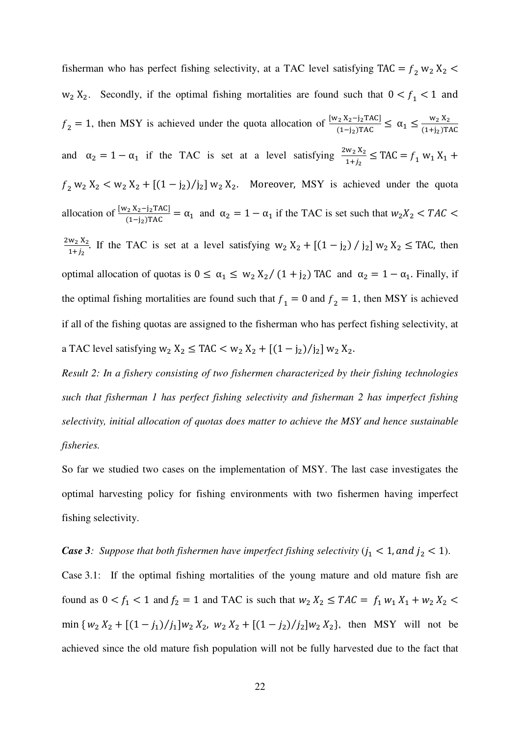fisherman who has perfect fishing selectivity, at a TAC level satisfying TAC =  $f_2$  w<sub>2</sub> X<sub>2</sub> <  $w_2 X_2$ . Secondly, if the optimal fishing mortalities are found such that  $0 < f_1 < 1$  and  $f_2 = 1$ , then MSY is achieved under the quota allocation of  $\frac{[w_2 X_2 - j_2 TAC]}{(1-j_2)TAC} \le \alpha_1 \le \frac{w_2 X_2}{(1+j_2)TAC}$ and  $\alpha_2 = 1 - \alpha_1$  if the TAC is set at a level satisfying  $\frac{2w_2 X_2}{1+j_2} \leq TAC = f_1 w_1 X_1 +$  $f_2 w_2 X_2 < w_2 X_2 + [(1 - j_2)/j_2] w_2 X_2$ . Moreover, MSY is achieved under the quota allocation of  $\frac{[w_2 X_2 - j_2 TAC]}{(1-j_2)TAC}$  =  $\alpha_1$  and  $\alpha_2 = 1 - \alpha_1$  if the TAC is set such that  $w_2 X_2 < TAC$  $2w_2X_2$  $\frac{w_2 \Delta_2}{1+j_2}$ . If the TAC is set at a level satisfying  $w_2 X_2 + [(1-j_2) / j_2] w_2 X_2 \leq TAC$ , then optimal allocation of quotas is  $0 \le \alpha_1 \le w_2 X_2 / (1 + j_2)$  TAC and  $\alpha_2 = 1 - \alpha_1$ . Finally, if the optimal fishing mortalities are found such that  $f_1 = 0$  and  $f_2 = 1$ , then MSY is achieved if all of the fishing quotas are assigned to the fisherman who has perfect fishing selectivity, at a TAC level satisfying  $w_2 X_2 \leq TAC < w_2 X_2 + \left[ (1 - j_2) / j_2 \right] w_2 X_2$ .

*Result 2: In a fishery consisting of two fishermen characterized by their fishing technologies such that fisherman 1 has perfect fishing selectivity and fisherman 2 has imperfect fishing selectivity, initial allocation of quotas does matter to achieve the MSY and hence sustainable fisheries.* 

So far we studied two cases on the implementation of MSY. The last case investigates the optimal harvesting policy for fishing environments with two fishermen having imperfect fishing selectivity.

### *Case 3:* Suppose that both fishermen have imperfect fishing selectivity  $(j_1 < 1$ , and  $j_2 < 1$ ).

Case 3.1: If the optimal fishing mortalities of the young mature and old mature fish are found as  $0 < f_1 < 1$  and  $f_2 = 1$  and TAC is such that  $w_2 X_2 \leq TAC = f_1 w_1 X_1 + w_2 X_2$  $\min\{w_2\,X_2 + \left[\frac{(1 - j_1)}{j_1} \right]w_2\,X_2, w_2\,X_2 + \left[\frac{(1 - j_2)}{j_2} \right]w_2\,X_2\},\}$  then MSY will not be achieved since the old mature fish population will not be fully harvested due to the fact that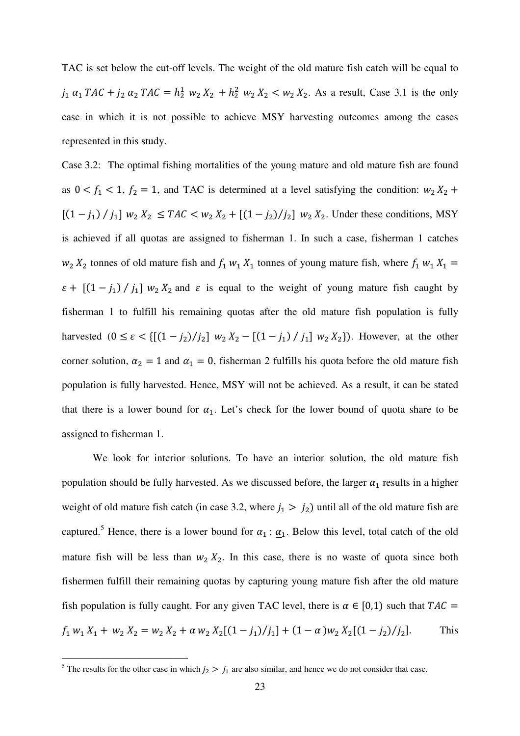TAC is set below the cut-off levels. The weight of the old mature fish catch will be equal to  $j_1 \alpha_1 TAC + j_2 \alpha_2 TAC = h_2^1 w_2 X_2 + h_2^2 w_2 X_2 < w_2 X_2$ . As a result, Case 3.1 is the only case in which it is not possible to achieve MSY harvesting outcomes among the cases represented in this study.

Case 3.2: The optimal fishing mortalities of the young mature and old mature fish are found as  $0 < f_1 < 1$ ,  $f_2 = 1$ , and TAC is determined at a level satisfying the condition:  $w_2 X_2 +$  $[(1-j_1)/j_1]$   $w_2 X_2 \leq TAC < w_2 X_2 + [(1-j_2)/j_2]$   $w_2 X_2$ . Under these conditions, MSY is achieved if all quotas are assigned to fisherman 1. In such a case, fisherman 1 catches  $w_2 X_2$  tonnes of old mature fish and  $f_1 w_1 X_1$  tonnes of young mature fish, where  $f_1 w_1 X_1 =$  $\varepsilon$  +  $[(1-j_1)/j_1]$   $W_2 X_2$  and  $\varepsilon$  is equal to the weight of young mature fish caught by fisherman 1 to fulfill his remaining quotas after the old mature fish population is fully harvested  $(0 \le \varepsilon < {\frac{\{(1 - j_2) / j_2\}}{2}} \le X_2 - {\frac{\{(1 - j_1) / j_1\}}{2}} \le X_2$ . However, at the other corner solution,  $\alpha_2 = 1$  and  $\alpha_1 = 0$ , fisherman 2 fulfills his quota before the old mature fish population is fully harvested. Hence, MSY will not be achieved. As a result, it can be stated that there is a lower bound for  $\alpha_1$ . Let's check for the lower bound of quota share to be assigned to fisherman 1.

 We look for interior solutions. To have an interior solution, the old mature fish population should be fully harvested. As we discussed before, the larger  $\alpha_1$  results in a higher weight of old mature fish catch (in case 3.2, where  $j_1 > j_2$ ) until all of the old mature fish are captured.<sup>5</sup> Hence, there is a lower bound for  $\alpha_1$ ;  $\underline{\alpha_1}$ . Below this level, total catch of the old mature fish will be less than  $w_2 X_2$ . In this case, there is no waste of quota since both fishermen fulfill their remaining quotas by capturing young mature fish after the old mature fish population is fully caught. For any given TAC level, there is  $\alpha \in [0,1)$  such that  $TAC =$  $f_1 w_1 X_1 + w_2 X_2 = w_2 X_2 + \alpha w_2 X_2 [(1 - j_1)/j_1] + (1 - \alpha) w_2 X_2 [(1 - j_2)/j_2].$  This

<sup>&</sup>lt;sup>5</sup> The results for the other case in which  $j_2 > j_1$  are also similar, and hence we do not consider that case.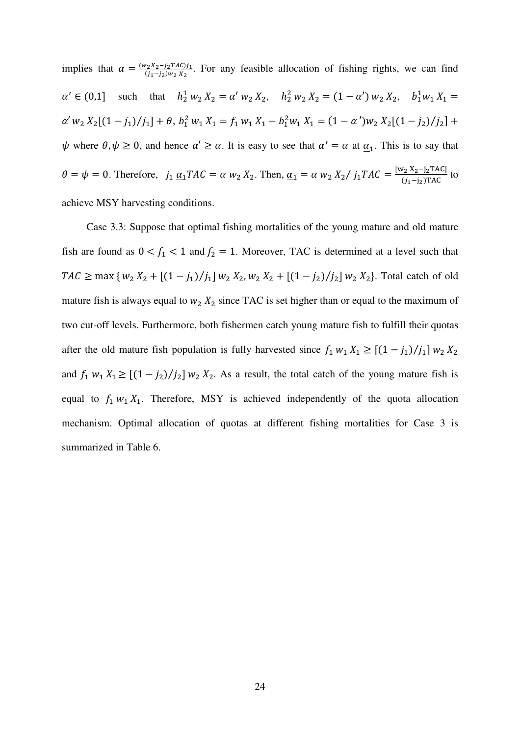implies that  $\alpha = \frac{(w_2 X_2 - j_2 TAC)j_1}{(j_1 - j_2)w_2 X_2}$ . For any feasible allocation of fishing rights, we can find  $\alpha' \in (0,1]$  such that  $h_2^1 w_2 X_2 = \alpha' w_2 X_2$ ,  $h_2^2 w_2 X_2 = (1 - \alpha') w_2 X_2$ ,  $h_1^1 w_1 X_1 =$  $\alpha' w_2 X_2 [(1-j_1)/j_1] + \theta$ ,  $b_1^2 w_1 X_1 = f_1 w_1 X_1 - b_1^2 w_1 X_1 = (1 - \alpha') w_2 X_2 [(1-j_2)/j_2] +$  $\psi$  where  $\theta, \psi \ge 0$ , and hence  $\alpha' \ge \alpha$ . It is easy to see that  $\alpha' = \alpha$  at  $\underline{\alpha_1}$ . This is to say that  $\theta = \psi = 0$ . Therefore,  $j_1 \underline{\alpha}_1 T A C = \alpha w_2 X_2$ . Then,  $\underline{\alpha}_1 = \alpha w_2 X_2 / j_1 T A C = \frac{[w_2 X_2 - j_2 T A C]}{(j_1 - j_2) T A C}$  to achieve MSY harvesting conditions.

Case 3.3: Suppose that optimal fishing mortalities of the young mature and old mature fish are found as  $0 < f_1 < 1$  and  $f_2 = 1$ . Moreover, TAC is determined at a level such that  $TAC \ge \max\{w_2 X_2 + [(1-j_1)/j_1] w_2 X_2, w_2 X_2 + [(1-j_2)/j_2] w_2 X_2\}$ . Total catch of old mature fish is always equal to  $w_2 X_2$  since TAC is set higher than or equal to the maximum of two cut-off levels. Furthermore, both fishermen catch young mature fish to fulfill their quotas after the old mature fish population is fully harvested since  $f_1 w_1 X_1 \ge [(1 - j_1)/j_1] w_2 X_2$ and  $f_1 w_1 X_1 \ge [(1 - j_2)/j_2] w_2 X_2$ . As a result, the total catch of the young mature fish is equal to  $f_1 w_1 X_1$ . Therefore, MSY is achieved independently of the quota allocation mechanism. Optimal allocation of quotas at different fishing mortalities for Case 3 is summarized in Table 6.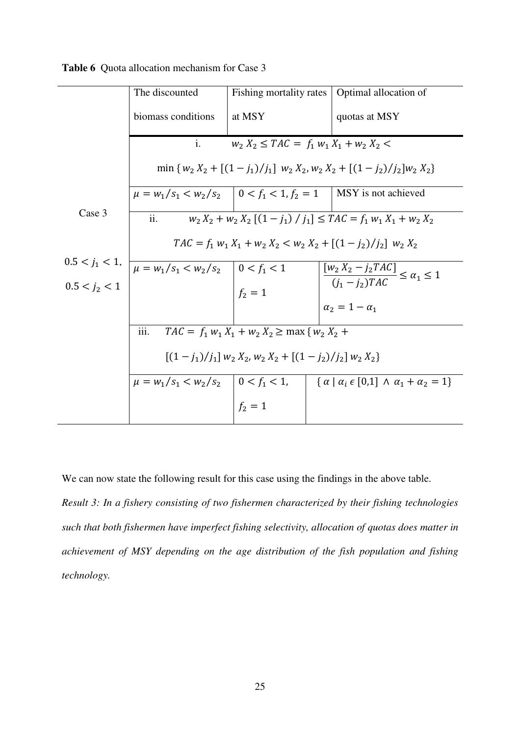|                 | The discounted                                                                    |                                            | Fishing mortality rates   Optimal allocation of                                                                        |  |  |  |  |
|-----------------|-----------------------------------------------------------------------------------|--------------------------------------------|------------------------------------------------------------------------------------------------------------------------|--|--|--|--|
|                 | biomass conditions                                                                | at MSY                                     | quotas at MSY                                                                                                          |  |  |  |  |
|                 | $i$ .                                                                             | $W_2 X_2 \leq TAC = f_1 W_1 X_1 + W_2 X_2$ |                                                                                                                        |  |  |  |  |
|                 | min { $w_2 X_2 + [(1 - j_1)/j_1] w_2 X_2$ , $w_2 X_2 + [(1 - j_2)/j_2] w_2 X_2$ } |                                            |                                                                                                                        |  |  |  |  |
|                 |                                                                                   |                                            | $\mu = w_1/s_1 < w_2/s_2$   $0 < f_1 < 1, f_2 = 1$   MSY is not achieved                                               |  |  |  |  |
| Case 3          | ii.<br>$w_2 X_2 + w_2 X_2 [(1 - j_1) / j_1] \leq TAC = f_1 w_1 X_1 + w_2 X_2$     |                                            |                                                                                                                        |  |  |  |  |
|                 | $TAC = f_1 w_1 X_1 + w_2 X_2 < w_2 X_2 + [(1-i_2)/i_2] w_2 X_2$                   |                                            |                                                                                                                        |  |  |  |  |
|                 | $0.5 < j_1 < 1,$ $\mu = w_1/s_1 < w_2/s_2$ $0 < j_1 < 1$                          |                                            | $\frac{[w_2 X_2 - j_2 TAC]}{(j_1 - j_2)TAC} \le \alpha_1 \le 1$                                                        |  |  |  |  |
| $0.5 < j_2 < 1$ |                                                                                   | $f_2 = 1$                                  |                                                                                                                        |  |  |  |  |
|                 |                                                                                   |                                            | $\alpha_2 = 1 - \alpha_1$                                                                                              |  |  |  |  |
|                 | iii.<br>$TAC = f_1 w_1 X_1 + w_2 X_2 \ge \max \{w_2 X_2 +$                        |                                            |                                                                                                                        |  |  |  |  |
|                 | $[(1-j_1)/j_1] w_2 X_2, w_2 X_2 + [(1-j_2)/j_2] w_2 X_2]$                         |                                            |                                                                                                                        |  |  |  |  |
|                 |                                                                                   |                                            | $\mu = w_1/s_1 < w_2/s_2$   0 < f <sub>1</sub> < 1,   { $\alpha   \alpha_i \in [0,1] \wedge \alpha_1 + \alpha_2 = 1$ } |  |  |  |  |
|                 |                                                                                   | $f_2 = 1$                                  |                                                                                                                        |  |  |  |  |

**Table 6** Quota allocation mechanism for Case 3

We can now state the following result for this case using the findings in the above table.

*Result 3: In a fishery consisting of two fishermen characterized by their fishing technologies such that both fishermen have imperfect fishing selectivity, allocation of quotas does matter in achievement of MSY depending on the age distribution of the fish population and fishing technology.*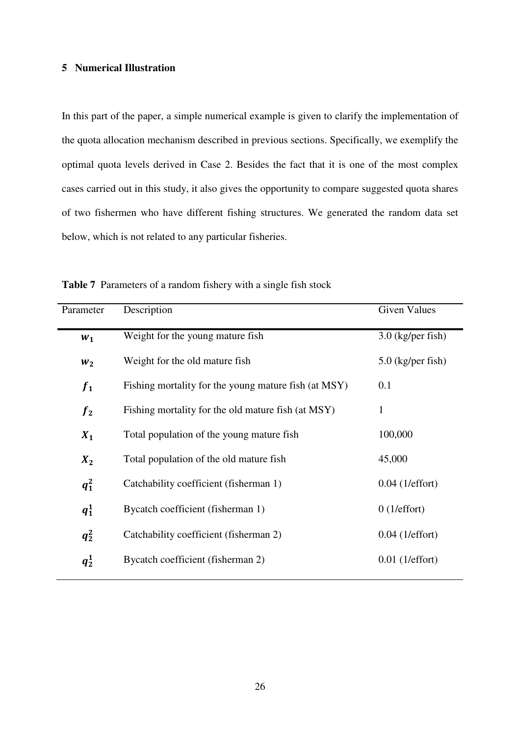### **5 Numerical Illustration**

In this part of the paper, a simple numerical example is given to clarify the implementation of the quota allocation mechanism described in previous sections. Specifically, we exemplify the optimal quota levels derived in Case 2. Besides the fact that it is one of the most complex cases carried out in this study, it also gives the opportunity to compare suggested quota shares of two fishermen who have different fishing structures. We generated the random data set below, which is not related to any particular fisheries.

| Parameter      | Description                                          | Given Values        |
|----------------|------------------------------------------------------|---------------------|
| $W_1$          | Weight for the young mature fish                     | $3.0$ (kg/per fish) |
| $W_2$          | Weight for the old mature fish                       | $5.0$ (kg/per fish) |
| $f_1$          | Fishing mortality for the young mature fish (at MSY) | 0.1                 |
| f <sub>2</sub> | Fishing mortality for the old mature fish (at MSY)   | 1                   |
| $X_1$          | Total population of the young mature fish            | 100,000             |
| $X_2$          | Total population of the old mature fish              | 45,000              |
| $q_1^2$        | Catchability coefficient (fisherman 1)               | $0.04$ (1/effort)   |
| $q_1^1$        | Bycatch coefficient (fisherman 1)                    | $0$ (1/effort)      |
| $q_2^2$        | Catchability coefficient (fisherman 2)               | $0.04$ (1/effort)   |
| $q_2^1$        | Bycatch coefficient (fisherman 2)                    | $0.01$ (1/effort)   |

**Table 7** Parameters of a random fishery with a single fish stock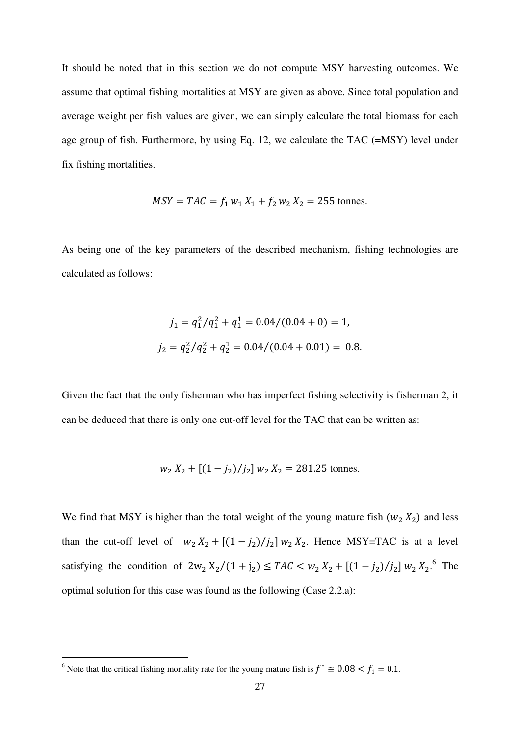It should be noted that in this section we do not compute MSY harvesting outcomes. We assume that optimal fishing mortalities at MSY are given as above. Since total population and average weight per fish values are given, we can simply calculate the total biomass for each age group of fish. Furthermore, by using Eq. 12, we calculate the TAC (=MSY) level under fix fishing mortalities.

$$
MSY = TAC = f_1 w_1 X_1 + f_2 w_2 X_2 = 255 \text{ tonnes.}
$$

As being one of the key parameters of the described mechanism, fishing technologies are calculated as follows:

$$
j_1 = q_1^2/q_1^2 + q_1^1 = 0.04/(0.04 + 0) = 1,
$$
  
\n
$$
j_2 = q_2^2/q_2^2 + q_2^1 = 0.04/(0.04 + 0.01) = 0.8.
$$

Given the fact that the only fisherman who has imperfect fishing selectivity is fisherman 2, it can be deduced that there is only one cut-off level for the TAC that can be written as:

$$
w_2 X_2 + [(1 - j_2)/j_2] w_2 X_2 = 281.25 \text{ tonnes.}
$$

We find that MSY is higher than the total weight of the young mature fish  $(w_2 X_2)$  and less than the cut-off level of  $w_2 X_2 + [(1-j_2)/j_2] w_2 X_2$ . Hence MSY=TAC is at a level satisfying the condition of  $2w_2 X_2/(1 + j_2) \leq TAC < w_2 X_2 + [(1 - j_2)/j_2] w_2 X_2^6$  The optimal solution for this case was found as the following (Case 2.2.a):

<sup>&</sup>lt;sup>6</sup> Note that the critical fishing mortality rate for the young mature fish is  $f^* \approx 0.08 < f_1 = 0.1$ .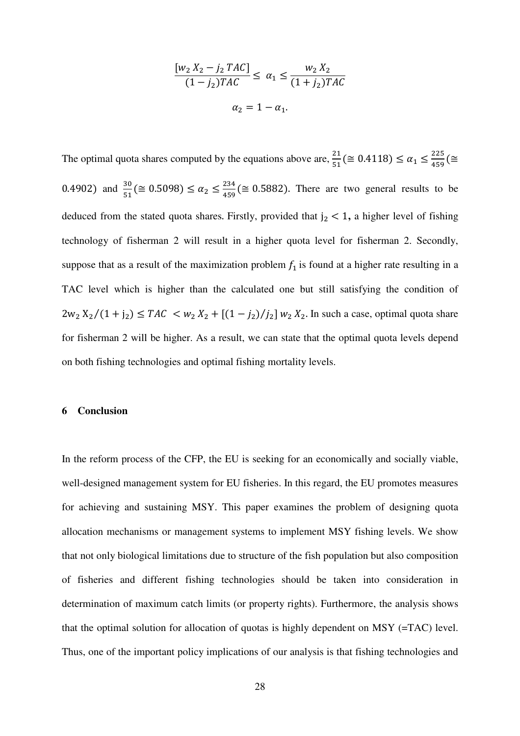$$
\frac{[w_2 X_2 - j_2 TAC]}{(1 - j_2)TAC} \le \alpha_1 \le \frac{w_2 X_2}{(1 + j_2)TAC}
$$

$$
\alpha_2 = 1 - \alpha_1.
$$

The optimal quota shares computed by the equations above are,  $\frac{21}{51}$  ( $\approx 0.4118$ )  $\le \alpha_1 \le \frac{225}{459}$  $rac{223}{459}$  (≅ 0.4902) and  $\frac{30}{51}$  ( $\approx$  0.5098)  $\leq \alpha_2 \leq \frac{234}{459}$  $\frac{234}{459}$  ( $\approx$  0.5882). There are two general results to be deduced from the stated quota shares. Firstly, provided that  $j_2 < 1$ , a higher level of fishing technology of fisherman 2 will result in a higher quota level for fisherman 2. Secondly, suppose that as a result of the maximization problem  $f_1$  is found at a higher rate resulting in a TAC level which is higher than the calculated one but still satisfying the condition of  $2w_2 X_2/(1 + j_2) \leq TAC < w_2 X_2 + [(1 - j_2)/j_2] w_2 X_2$ . In such a case, optimal quota share for fisherman 2 will be higher. As a result, we can state that the optimal quota levels depend on both fishing technologies and optimal fishing mortality levels.

#### **6 Conclusion**

In the reform process of the CFP, the EU is seeking for an economically and socially viable, well-designed management system for EU fisheries. In this regard, the EU promotes measures for achieving and sustaining MSY. This paper examines the problem of designing quota allocation mechanisms or management systems to implement MSY fishing levels. We show that not only biological limitations due to structure of the fish population but also composition of fisheries and different fishing technologies should be taken into consideration in determination of maximum catch limits (or property rights). Furthermore, the analysis shows that the optimal solution for allocation of quotas is highly dependent on MSY  $(=TAC)$  level. Thus, one of the important policy implications of our analysis is that fishing technologies and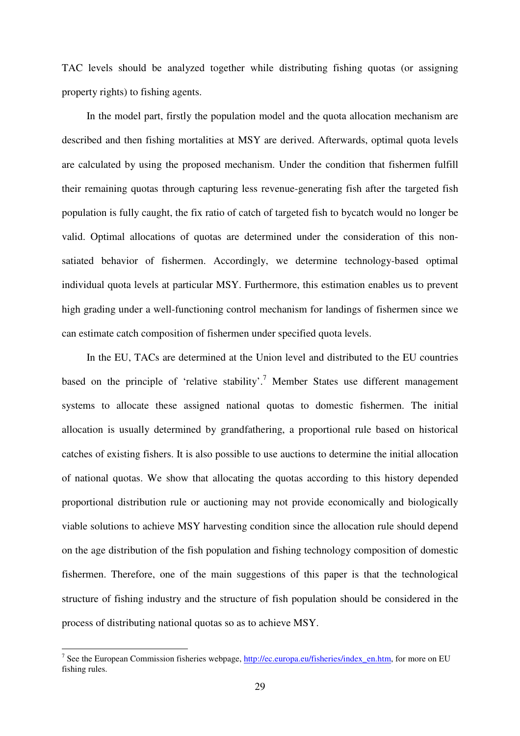TAC levels should be analyzed together while distributing fishing quotas (or assigning property rights) to fishing agents.

In the model part, firstly the population model and the quota allocation mechanism are described and then fishing mortalities at MSY are derived. Afterwards, optimal quota levels are calculated by using the proposed mechanism. Under the condition that fishermen fulfill their remaining quotas through capturing less revenue-generating fish after the targeted fish population is fully caught, the fix ratio of catch of targeted fish to bycatch would no longer be valid. Optimal allocations of quotas are determined under the consideration of this nonsatiated behavior of fishermen. Accordingly, we determine technology-based optimal individual quota levels at particular MSY. Furthermore, this estimation enables us to prevent high grading under a well-functioning control mechanism for landings of fishermen since we can estimate catch composition of fishermen under specified quota levels.

In the EU, TACs are determined at the Union level and distributed to the EU countries based on the principle of 'relative stability'.<sup>7</sup> Member States use different management systems to allocate these assigned national quotas to domestic fishermen. The initial allocation is usually determined by grandfathering, a proportional rule based on historical catches of existing fishers. It is also possible to use auctions to determine the initial allocation of national quotas. We show that allocating the quotas according to this history depended proportional distribution rule or auctioning may not provide economically and biologically viable solutions to achieve MSY harvesting condition since the allocation rule should depend on the age distribution of the fish population and fishing technology composition of domestic fishermen. Therefore, one of the main suggestions of this paper is that the technological structure of fishing industry and the structure of fish population should be considered in the process of distributing national quotas so as to achieve MSY.

 $\overline{a}$ 

<sup>&</sup>lt;sup>7</sup> See the European Commission fisheries webpage, http://ec.europa.eu/fisheries/index\_en.htm, for more on EU fishing rules.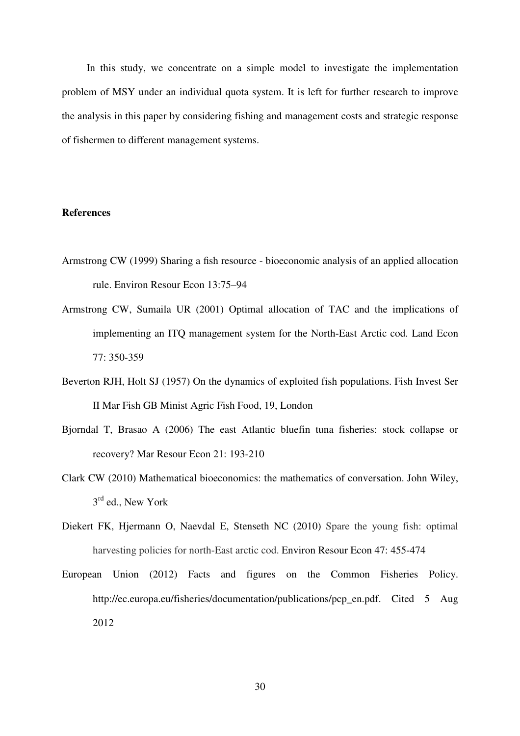In this study, we concentrate on a simple model to investigate the implementation problem of MSY under an individual quota system. It is left for further research to improve the analysis in this paper by considering fishing and management costs and strategic response of fishermen to different management systems.

#### **References**

- Armstrong CW (1999) Sharing a fish resource bioeconomic analysis of an applied allocation rule. Environ Resour Econ 13:75–94
- Armstrong CW, Sumaila UR (2001) Optimal allocation of TAC and the implications of implementing an ITQ management system for the North-East Arctic cod. Land Econ 77: 350-359
- Beverton RJH, Holt SJ (1957) On the dynamics of exploited fish populations. Fish Invest Ser II Mar Fish GB Minist Agric Fish Food, 19, London
- Bjorndal T, Brasao A (2006) The east Atlantic bluefin tuna fisheries: stock collapse or recovery? Mar Resour Econ 21: 193-210
- Clark CW (2010) Mathematical bioeconomics: the mathematics of conversation. John Wiley, 3<sup>rd</sup> ed., New York
- Diekert FK, Hjermann O, Naevdal E, Stenseth NC (2010) Spare the young fish: optimal harvesting policies for north-East arctic cod. Environ Resour Econ 47: 455-474
- European Union (2012) Facts and figures on the Common Fisheries Policy. http://ec.europa.eu/fisheries/documentation/publications/pcp\_en.pdf. Cited 5 Aug 2012